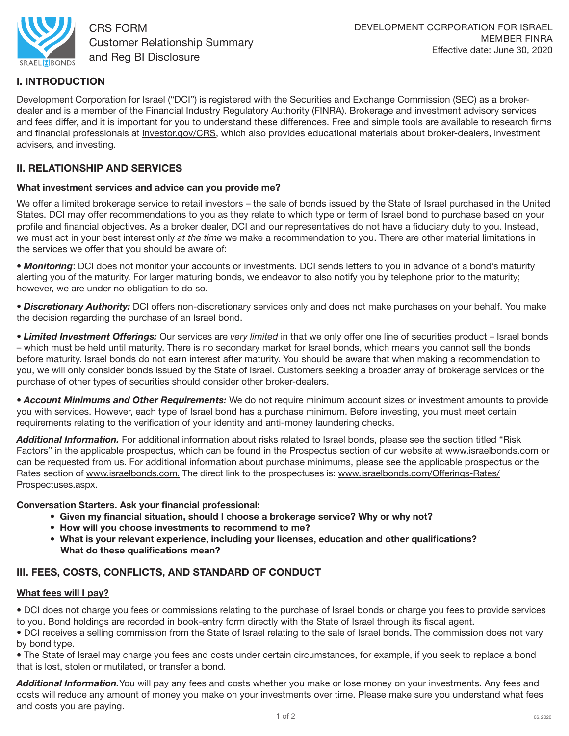

CRS FORM Customer Relationship Summary and Reg BI Disclosure

# I. INTRODUCTION

Development Corporation for Israel ("DCI") is registered with the Securities and Exchange Commission (SEC) as a brokerdealer and is a member of the Financial Industry Regulatory Authority (FINRA). Brokerage and investment advisory services and fees differ, and it is important for you to understand these differences. Free and simple tools are available to research firms and financial professionals at [investor.gov/CRS,](https://investor.gov/CRS) which also provides educational materials about broker-dealers, investment advisers, and investing.

# II. RELATIONSHIP AND SERVICES

## What investment services and advice can you provide me?

We offer a limited brokerage service to retail investors – the sale of bonds issued by the State of Israel purchased in the United States. DCI may offer recommendations to you as they relate to which type or term of Israel bond to purchase based on your profile and financial objectives. As a broker dealer, DCI and our representatives do not have a fiduciary duty to you. Instead, we must act in your best interest only *at the time* we make a recommendation to you. There are other material limitations in the services we offer that you should be aware of:

• *Monitoring*: DCI does not monitor your accounts or investments. DCI sends letters to you in advance of a bond's maturity alerting you of the maturity. For larger maturing bonds, we endeavor to also notify you by telephone prior to the maturity; however, we are under no obligation to do so.

*• Discretionary Authority:* DCI offers non-discretionary services only and does not make purchases on your behalf. You make the decision regarding the purchase of an Israel bond.

*• Limited Investment Offerings:* Our services are *very limited* in that we only offer one line of securities product – Israel bonds – which must be held until maturity. There is no secondary market for Israel bonds, which means you cannot sell the bonds before maturity. Israel bonds do not earn interest after maturity. You should be aware that when making a recommendation to you, we will only consider bonds issued by the State of Israel. Customers seeking a broader array of brokerage services or the purchase of other types of securities should consider other broker-dealers.

*• Account Minimums and Other Requirements:* We do not require minimum account sizes or investment amounts to provide you with services. However, each type of Israel bond has a purchase minimum. Before investing, you must meet certain requirements relating to the verification of your identity and anti-money laundering checks.

*Additional Information.* For additional information about risks related to Israel bonds, please see the section titled "Risk Factors" in the applicable prospectus, which can be found in the Prospectus section of our website at [www.israelbonds.com or](http://www.israelbonds.com) can be requested from us. For additional information about purchase minimums, please see the applicable prospectus or the Rates section of [www.israelbonds.com. Th](http://www.israelbonds.com)e direct link to the prospectuses is: [www.israelbonds.com/Offerings-Rates/](http://www.israelbonds.com/Offerings-Rates/Prospectuses.aspx) [Prospectuses.aspx.](http://www.israelbonds.com/Offerings-Rates/Prospectuses.aspx) 

Conversation Starters. Ask your financial professional:

- Given my financial situation, should I choose a brokerage service? Why or why not?
- How will you choose investments to recommend to me?
- What is your relevant experience, including your licenses, education and other qualifications? What do these qualifications mean?

# III. FEES, COSTS, CONFLICTS, AND STANDARD OF CONDUCT

## What fees will I pay?

• DCI does not charge you fees or commissions relating to the purchase of Israel bonds or charge you fees to provide services to you. Bond holdings are recorded in book-entry form directly with the State of Israel through its fiscal agent.

• DCI receives a selling commission from the State of Israel relating to the sale of Israel bonds. The commission does not vary by bond type.

• The State of Israel may charge you fees and costs under certain circumstances, for example, if you seek to replace a bond that is lost, stolen or mutilated, or transfer a bond.

*Additional Information.*You will pay any fees and costs whether you make or lose money on your investments. Any fees and costs will reduce any amount of money you make on your investments over time. Please make sure you understand what fees and costs you are paying.